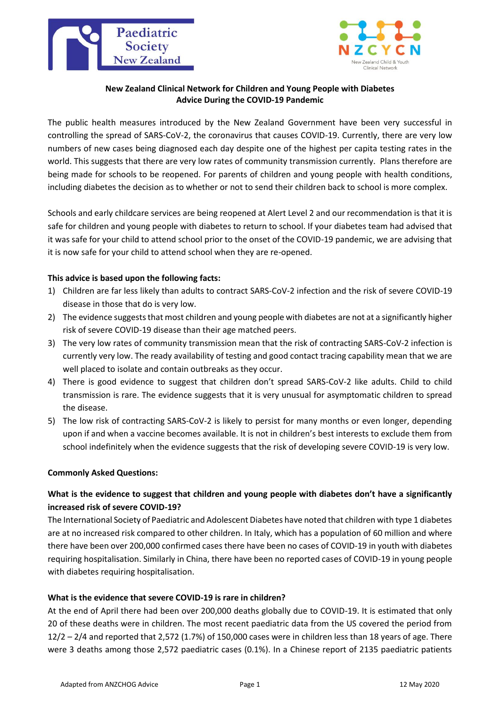



## **New Zealand Clinical Network for Children and Young People with Diabetes Advice During the COVID-19 Pandemic**

The public health measures introduced by the New Zealand Government have been very successful in controlling the spread of SARS-CoV-2, the coronavirus that causes COVID-19. Currently, there are very low numbers of new cases being diagnosed each day despite one of the highest per capita testing rates in the world. This suggests that there are very low rates of community transmission currently. Plans therefore are being made for schools to be reopened. For parents of children and young people with health conditions, including diabetes the decision as to whether or not to send their children back to school is more complex.

Schools and early childcare services are being reopened at Alert Level 2 and our recommendation is that it is safe for children and young people with diabetes to return to school. If your diabetes team had advised that it was safe for your child to attend school prior to the onset of the COVID-19 pandemic, we are advising that it is now safe for your child to attend school when they are re-opened.

## **This advice is based upon the following facts:**

- 1) Children are far less likely than adults to contract SARS-CoV-2 infection and the risk of severe COVID-19 disease in those that do is very low.
- 2) The evidence suggests that most children and young people with diabetes are not at a significantly higher risk of severe COVID-19 disease than their age matched peers.
- 3) The very low rates of community transmission mean that the risk of contracting SARS-CoV-2 infection is currently very low. The ready availability of testing and good contact tracing capability mean that we are well placed to isolate and contain outbreaks as they occur.
- 4) There is good evidence to suggest that children don't spread SARS-CoV-2 like adults. Child to child transmission is rare. The evidence suggests that it is very unusual for asymptomatic children to spread the disease.
- 5) The low risk of contracting SARS-CoV-2 is likely to persist for many months or even longer, depending upon if and when a vaccine becomes available. It is not in children's best interests to exclude them from school indefinitely when the evidence suggests that the risk of developing severe COVID-19 is very low.

#### **Commonly Asked Questions:**

# **What is the evidence to suggest that children and young people with diabetes don't have a significantly increased risk of severe COVID-19?**

The International Society of Paediatric and Adolescent Diabetes have noted that children with type 1 diabetes are at no increased risk compared to other children. In Italy, which has a population of 60 million and where there have been over 200,000 confirmed cases there have been no cases of COVID-19 in youth with diabetes requiring hospitalisation. Similarly in China, there have been no reported cases of COVID-19 in young people with diabetes requiring hospitalisation.

#### **What is the evidence that severe COVID-19 is rare in children?**

At the end of April there had been over 200,000 deaths globally due to COVID-19. It is estimated that only 20 of these deaths were in children. The most recent paediatric data from the US covered the period from 12/2 – 2/4 and reported that 2,572 (1.7%) of 150,000 cases were in children less than 18 years of age. There were 3 deaths among those 2,572 paediatric cases (0.1%). In a Chinese report of 2135 paediatric patients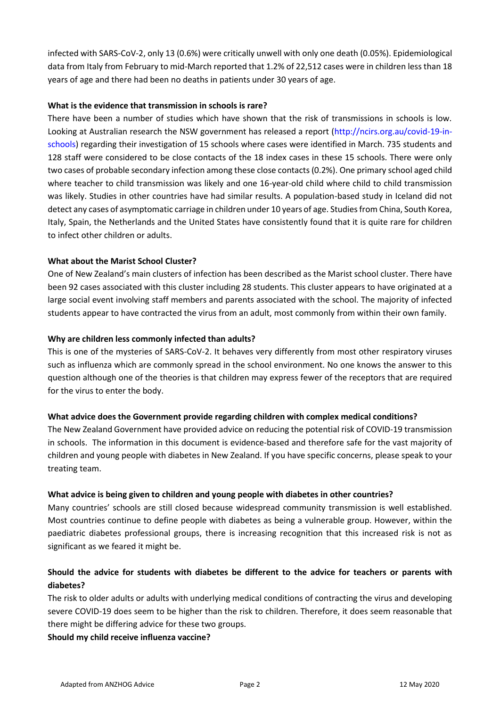infected with SARS-CoV-2, only 13 (0.6%) were critically unwell with only one death (0.05%). Epidemiological data from Italy from February to mid-March reported that 1.2% of 22,512 cases were in children less than 18 years of age and there had been no deaths in patients under 30 years of age.

## **What is the evidence that transmission in schools is rare?**

There have been a number of studies which have shown that the risk of transmissions in schools is low. Looking at Australian research the NSW government has released a report (http://ncirs.org.au/covid-19-inschools) regarding their investigation of 15 schools where cases were identified in March. 735 students and 128 staff were considered to be close contacts of the 18 index cases in these 15 schools. There were only two cases of probable secondary infection among these close contacts (0.2%). One primary school aged child where teacher to child transmission was likely and one 16-year-old child where child to child transmission was likely. Studies in other countries have had similar results. A population-based study in Iceland did not detect any cases of asymptomatic carriage in children under 10 years of age. Studies from China, South Korea, Italy, Spain, the Netherlands and the United States have consistently found that it is quite rare for children to infect other children or adults.

## **What about the Marist School Cluster?**

One of New Zealand's main clusters of infection has been described as the Marist school cluster. There have been 92 cases associated with this cluster including 28 students. This cluster appears to have originated at a large social event involving staff members and parents associated with the school. The majority of infected students appear to have contracted the virus from an adult, most commonly from within their own family.

## **Why are children less commonly infected than adults?**

This is one of the mysteries of SARS-CoV-2. It behaves very differently from most other respiratory viruses such as influenza which are commonly spread in the school environment. No one knows the answer to this question although one of the theories is that children may express fewer of the receptors that are required for the virus to enter the body.

#### **What advice does the Government provide regarding children with complex medical conditions?**

The New Zealand Government have provided advice on reducing the potential risk of COVID-19 transmission in schools. The information in this document is evidence-based and therefore safe for the vast majority of children and young people with diabetes in New Zealand. If you have specific concerns, please speak to your treating team.

#### **What advice is being given to children and young people with diabetes in other countries?**

Many countries' schools are still closed because widespread community transmission is well established. Most countries continue to define people with diabetes as being a vulnerable group. However, within the paediatric diabetes professional groups, there is increasing recognition that this increased risk is not as significant as we feared it might be.

## **Should the advice for students with diabetes be different to the advice for teachers or parents with diabetes?**

The risk to older adults or adults with underlying medical conditions of contracting the virus and developing severe COVID-19 does seem to be higher than the risk to children. Therefore, it does seem reasonable that there might be differing advice for these two groups.

#### **Should my child receive influenza vaccine?**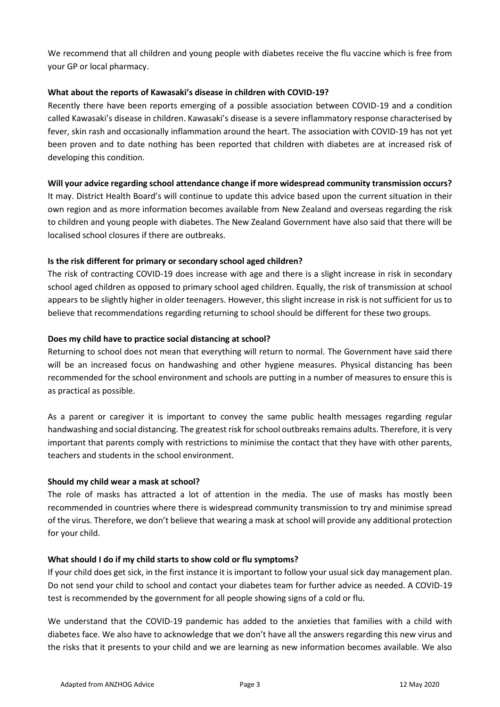We recommend that all children and young people with diabetes receive the flu vaccine which is free from your GP or local pharmacy.

#### **What about the reports of Kawasaki's disease in children with COVID-19?**

Recently there have been reports emerging of a possible association between COVID-19 and a condition called Kawasaki's disease in children. Kawasaki's disease is a severe inflammatory response characterised by fever, skin rash and occasionally inflammation around the heart. The association with COVID-19 has not yet been proven and to date nothing has been reported that children with diabetes are at increased risk of developing this condition.

## **Will your advice regarding school attendance change if more widespread community transmission occurs?**

It may. District Health Board's will continue to update this advice based upon the current situation in their own region and as more information becomes available from New Zealand and overseas regarding the risk to children and young people with diabetes. The New Zealand Government have also said that there will be localised school closures if there are outbreaks.

## **Is the risk different for primary or secondary school aged children?**

The risk of contracting COVID-19 does increase with age and there is a slight increase in risk in secondary school aged children as opposed to primary school aged children. Equally, the risk of transmission at school appears to be slightly higher in older teenagers. However, this slight increase in risk is not sufficient for us to believe that recommendations regarding returning to school should be different for these two groups.

## **Does my child have to practice social distancing at school?**

Returning to school does not mean that everything will return to normal. The Government have said there will be an increased focus on handwashing and other hygiene measures. Physical distancing has been recommended for the school environment and schools are putting in a number of measures to ensure this is as practical as possible.

As a parent or caregiver it is important to convey the same public health messages regarding regular handwashing and social distancing. The greatest risk for school outbreaks remains adults. Therefore, it is very important that parents comply with restrictions to minimise the contact that they have with other parents, teachers and students in the school environment.

#### **Should my child wear a mask at school?**

The role of masks has attracted a lot of attention in the media. The use of masks has mostly been recommended in countries where there is widespread community transmission to try and minimise spread of the virus. Therefore, we don't believe that wearing a mask at school will provide any additional protection for your child.

#### **What should I do if my child starts to show cold or flu symptoms?**

If your child does get sick, in the first instance it is important to follow your usual sick day management plan. Do not send your child to school and contact your diabetes team for further advice as needed. A COVID-19 test is recommended by the government for all people showing signs of a cold or flu.

We understand that the COVID-19 pandemic has added to the anxieties that families with a child with diabetes face. We also have to acknowledge that we don't have all the answers regarding this new virus and the risks that it presents to your child and we are learning as new information becomes available. We also